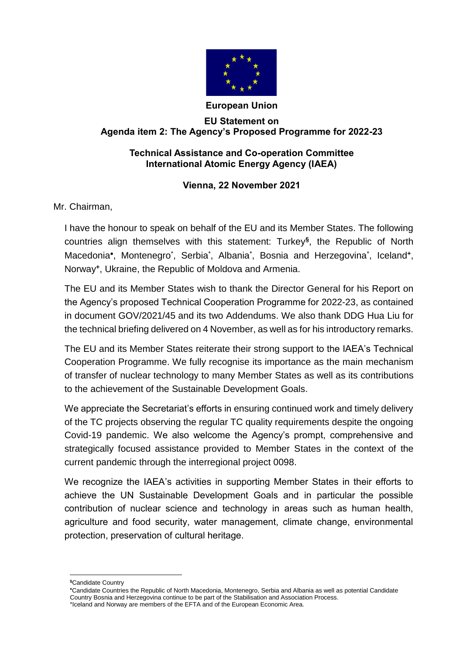

# **European Union**

## **EU Statement on Agenda item 2: The Agency's Proposed Programme for 2022-23**

# **Technical Assistance and Co-operation Committee International Atomic Energy Agency (IAEA)**

# **Vienna, 22 November 2021**

Mr. Chairman,

I have the honour to speak on behalf of the EU and its Member States. The following countries align themselves with this statement: Turkey**§** , the Republic of North Macedonia\*, Montenegro<sup>\*</sup>, Serbia<sup>\*</sup>, Albania<sup>\*</sup>, Bosnia and Herzegovina<sup>\*</sup>, Iceland+, Norway**<sup>+</sup>** , Ukraine, the Republic of Moldova and Armenia.

The EU and its Member States wish to thank the Director General for his Report on the Agency's proposed Technical Cooperation Programme for 2022-23, as contained in document GOV/2021/45 and its two Addendums. We also thank DDG Hua Liu for the technical briefing delivered on 4 November, as well as for his introductory remarks.

The EU and its Member States reiterate their strong support to the IAEA's Technical Cooperation Programme. We fully recognise its importance as the main mechanism of transfer of nuclear technology to many Member States as well as its contributions to the achievement of the Sustainable Development Goals.

We appreciate the Secretariat's efforts in ensuring continued work and timely delivery of the TC projects observing the regular TC quality requirements despite the ongoing Covid-19 pandemic. We also welcome the Agency's prompt, comprehensive and strategically focused assistance provided to Member States in the context of the current pandemic through the interregional project 0098.

We recognize the IAEA's activities in supporting Member States in their efforts to achieve the UN Sustainable Development Goals and in particular the possible contribution of nuclear science and technology in areas such as human health, agriculture and food security, water management, climate change, environmental protection, preservation of cultural heritage.

1 **§**Candidate Country

Candidate Countries the Republic of North Macedonia, Montenegro, Serbia and Albania as well as potential Candidate Country Bosnia and Herzegovina continue to be part of the Stabilisation and Association Process. **+** Iceland and Norway are members of the EFTA and of the European Economic Area.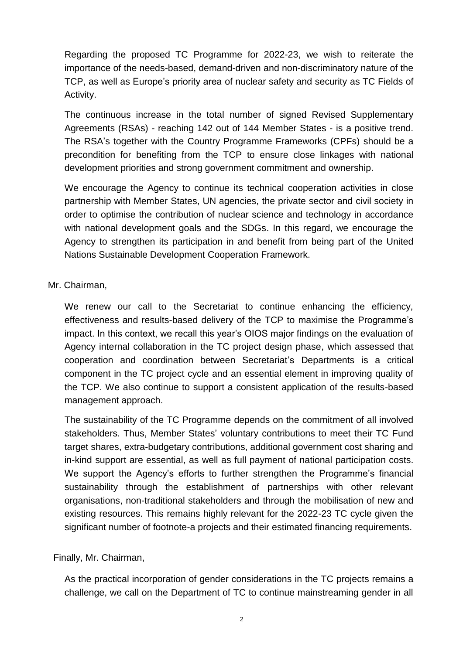Regarding the proposed TC Programme for 2022-23, we wish to reiterate the importance of the needs-based, demand-driven and non-discriminatory nature of the TCP, as well as Europe's priority area of nuclear safety and security as TC Fields of Activity.

The continuous increase in the total number of signed Revised Supplementary Agreements (RSAs) - reaching 142 out of 144 Member States - is a positive trend. The RSA's together with the Country Programme Frameworks (CPFs) should be a precondition for benefiting from the TCP to ensure close linkages with national development priorities and strong government commitment and ownership.

We encourage the Agency to continue its technical cooperation activities in close partnership with Member States, UN agencies, the private sector and civil society in order to optimise the contribution of nuclear science and technology in accordance with national development goals and the SDGs. In this regard, we encourage the Agency to strengthen its participation in and benefit from being part of the United Nations Sustainable Development Cooperation Framework.

# Mr. Chairman,

We renew our call to the Secretariat to continue enhancing the efficiency, effectiveness and results-based delivery of the TCP to maximise the Programme's impact. In this context, we recall this year's OIOS major findings on the evaluation of Agency internal collaboration in the TC project design phase, which assessed that cooperation and coordination between Secretariat's Departments is a critical component in the TC project cycle and an essential element in improving quality of the TCP. We also continue to support a consistent application of the results-based management approach.

The sustainability of the TC Programme depends on the commitment of all involved stakeholders. Thus, Member States' voluntary contributions to meet their TC Fund target shares, extra-budgetary contributions, additional government cost sharing and in-kind support are essential, as well as full payment of national participation costs. We support the Agency's efforts to further strengthen the Programme's financial sustainability through the establishment of partnerships with other relevant organisations, non-traditional stakeholders and through the mobilisation of new and existing resources. This remains highly relevant for the 2022-23 TC cycle given the significant number of footnote-a projects and their estimated financing requirements.

Finally, Mr. Chairman,

As the practical incorporation of gender considerations in the TC projects remains a challenge, we call on the Department of TC to continue mainstreaming gender in all